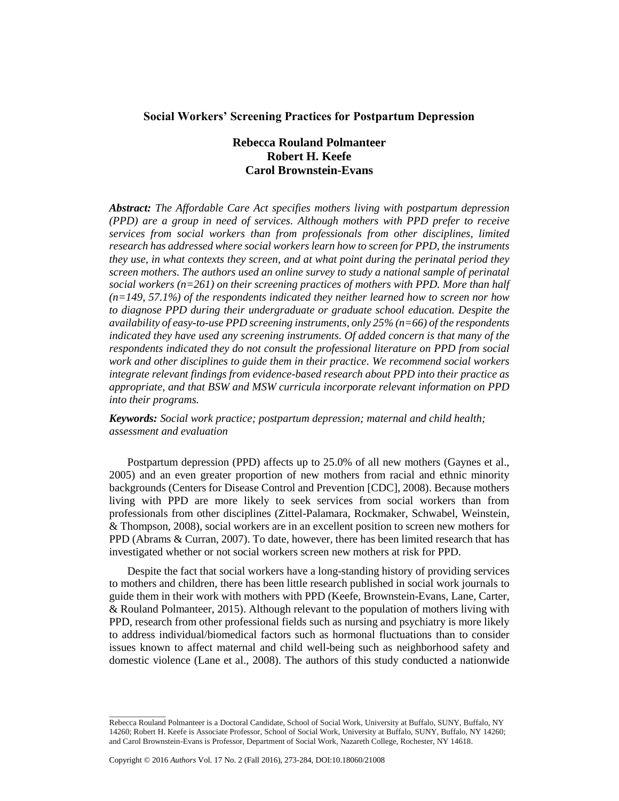# **Social Workers' Screening Practices for Postpartum Depression**

# **Rebecca Rouland Polmanteer Robert H. Keefe Carol Brownstein-Evans**

*Abstract: The Affordable Care Act specifies mothers living with postpartum depression (PPD) are a group in need of services. Although mothers with PPD prefer to receive services from social workers than from professionals from other disciplines, limited research has addressed where social workers learn how to screen for PPD, the instruments they use, in what contexts they screen, and at what point during the perinatal period they screen mothers. The authors used an online survey to study a national sample of perinatal social workers (n=261) on their screening practices of mothers with PPD. More than half (n=149, 57.1%) of the respondents indicated they neither learned how to screen nor how to diagnose PPD during their undergraduate or graduate school education. Despite the availability of easy-to-use PPD screening instruments, only 25% (n=66) of the respondents indicated they have used any screening instruments. Of added concern is that many of the respondents indicated they do not consult the professional literature on PPD from social work and other disciplines to guide them in their practice. We recommend social workers integrate relevant findings from evidence-based research about PPD into their practice as appropriate, and that BSW and MSW curricula incorporate relevant information on PPD into their programs.*

*Keywords: Social work practice; postpartum depression; maternal and child health; assessment and evaluation*

Postpartum depression (PPD) affects up to 25.0% of all new mothers (Gaynes et al., 2005) and an even greater proportion of new mothers from racial and ethnic minority backgrounds (Centers for Disease Control and Prevention [CDC], 2008). Because mothers living with PPD are more likely to seek services from social workers than from professionals from other disciplines (Zittel-Palamara, Rockmaker, Schwabel, Weinstein, & Thompson, 2008), social workers are in an excellent position to screen new mothers for PPD (Abrams & Curran, 2007). To date, however, there has been limited research that has investigated whether or not social workers screen new mothers at risk for PPD.

Despite the fact that social workers have a long-standing history of providing services to mothers and children, there has been little research published in social work journals to guide them in their work with mothers with PPD (Keefe, Brownstein-Evans, Lane, Carter, & Rouland Polmanteer, 2015). Although relevant to the population of mothers living with PPD, research from other professional fields such as nursing and psychiatry is more likely to address individual/biomedical factors such as hormonal fluctuations than to consider issues known to affect maternal and child well-being such as neighborhood safety and domestic violence (Lane et al., 2008). The authors of this study conducted a nationwide

\_\_\_\_\_\_\_\_\_\_\_\_\_\_

Rebecca Rouland Polmanteer is a Doctoral Candidate, School of Social Work, University at Buffalo, SUNY, Buffalo, NY 14260; Robert H. Keefe is Associate Professor, School of Social Work, University at Buffalo, SUNY, Buffalo, NY 14260; and Carol Brownstein-Evans is Professor, Department of Social Work, Nazareth College, Rochester, NY 14618.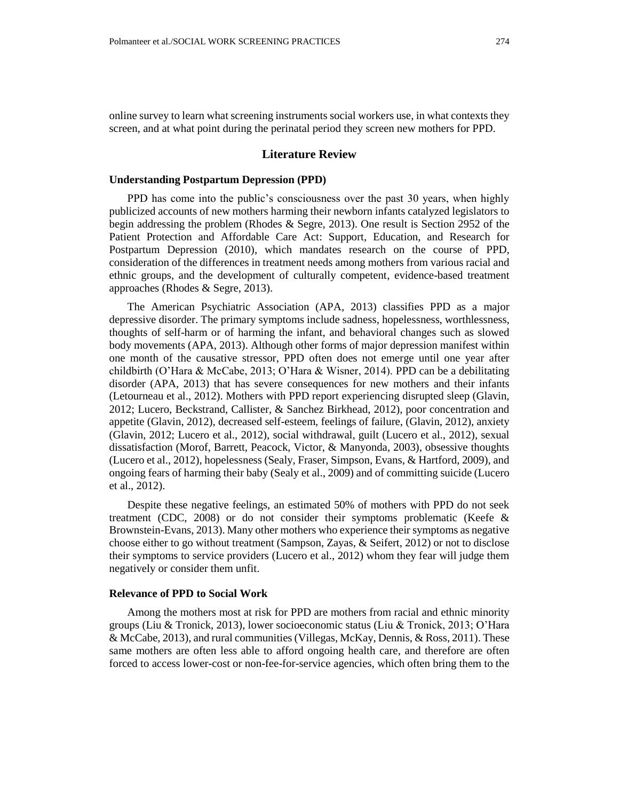online survey to learn what screening instruments social workers use, in what contexts they screen, and at what point during the perinatal period they screen new mothers for PPD.

#### **Literature Review**

#### **Understanding Postpartum Depression (PPD)**

PPD has come into the public's consciousness over the past 30 years, when highly publicized accounts of new mothers harming their newborn infants catalyzed legislators to begin addressing the problem (Rhodes & Segre, 2013). One result is Section 2952 of the Patient Protection and Affordable Care Act: Support, Education, and Research for Postpartum Depression (2010), which mandates research on the course of PPD, consideration of the differences in treatment needs among mothers from various racial and ethnic groups, and the development of culturally competent, evidence-based treatment approaches (Rhodes & Segre, 2013).

The American Psychiatric Association (APA, 2013) classifies PPD as a major depressive disorder. The primary symptoms include sadness, hopelessness, worthlessness, thoughts of self-harm or of harming the infant, and behavioral changes such as slowed body movements (APA, 2013). Although other forms of major depression manifest within one month of the causative stressor, PPD often does not emerge until one year after childbirth (O'Hara & McCabe, 2013; O'Hara & Wisner, 2014). PPD can be a debilitating disorder (APA, 2013) that has severe consequences for new mothers and their infants (Letourneau et al., 2012). Mothers with PPD report experiencing disrupted sleep (Glavin, 2012; Lucero, Beckstrand, Callister, & Sanchez Birkhead, 2012), poor concentration and appetite (Glavin, 2012), decreased self-esteem, feelings of failure, (Glavin, 2012), anxiety (Glavin, 2012; Lucero et al., 2012), social withdrawal, guilt (Lucero et al., 2012), sexual dissatisfaction (Morof, Barrett, Peacock, Victor, & Manyonda, 2003), obsessive thoughts (Lucero et al., 2012), hopelessness (Sealy, Fraser, Simpson, Evans, & Hartford, 2009), and ongoing fears of harming their baby (Sealy et al., 2009) and of committing suicide (Lucero et al., 2012).

Despite these negative feelings, an estimated 50% of mothers with PPD do not seek treatment (CDC, 2008) or do not consider their symptoms problematic (Keefe & Brownstein-Evans, 2013). Many other mothers who experience their symptoms as negative choose either to go without treatment (Sampson, Zayas, & Seifert, 2012) or not to disclose their symptoms to service providers (Lucero et al., 2012) whom they fear will judge them negatively or consider them unfit.

#### **Relevance of PPD to Social Work**

Among the mothers most at risk for PPD are mothers from racial and ethnic minority groups (Liu & Tronick, 2013), lower socioeconomic status (Liu & Tronick, 2013; O'Hara & McCabe, 2013), and rural communities (Villegas, McKay, Dennis, & Ross, 2011). These same mothers are often less able to afford ongoing health care, and therefore are often forced to access lower-cost or non-fee-for-service agencies, which often bring them to the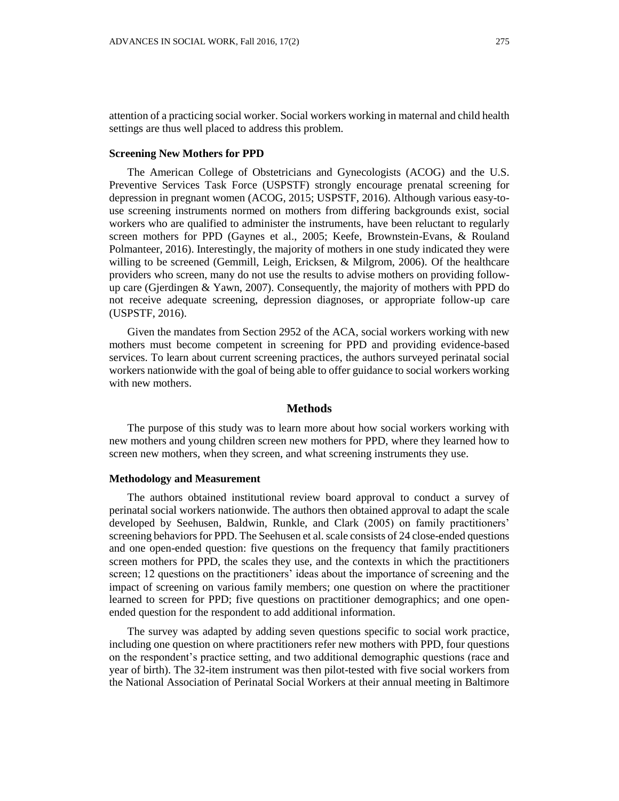attention of a practicing social worker. Social workers working in maternal and child health settings are thus well placed to address this problem.

### **Screening New Mothers for PPD**

The American College of Obstetricians and Gynecologists (ACOG) and the U.S. Preventive Services Task Force (USPSTF) strongly encourage prenatal screening for depression in pregnant women (ACOG, 2015; USPSTF, 2016). Although various easy-touse screening instruments normed on mothers from differing backgrounds exist, social workers who are qualified to administer the instruments, have been reluctant to regularly screen mothers for PPD (Gaynes et al., 2005; Keefe, Brownstein-Evans, & Rouland Polmanteer, 2016). Interestingly, the majority of mothers in one study indicated they were willing to be screened (Gemmill, Leigh, Ericksen, & Milgrom, 2006). Of the healthcare providers who screen, many do not use the results to advise mothers on providing followup care (Gjerdingen & Yawn, 2007). Consequently, the majority of mothers with PPD do not receive adequate screening, depression diagnoses, or appropriate follow-up care (USPSTF, 2016).

Given the mandates from Section 2952 of the ACA, social workers working with new mothers must become competent in screening for PPD and providing evidence-based services. To learn about current screening practices, the authors surveyed perinatal social workers nationwide with the goal of being able to offer guidance to social workers working with new mothers.

### **Methods**

The purpose of this study was to learn more about how social workers working with new mothers and young children screen new mothers for PPD, where they learned how to screen new mothers, when they screen, and what screening instruments they use.

#### **Methodology and Measurement**

The authors obtained institutional review board approval to conduct a survey of perinatal social workers nationwide. The authors then obtained approval to adapt the scale developed by Seehusen, Baldwin, Runkle, and Clark (2005) on family practitioners' screening behaviors for PPD. The Seehusen et al. scale consists of 24 close-ended questions and one open-ended question: five questions on the frequency that family practitioners screen mothers for PPD, the scales they use, and the contexts in which the practitioners screen; 12 questions on the practitioners' ideas about the importance of screening and the impact of screening on various family members; one question on where the practitioner learned to screen for PPD; five questions on practitioner demographics; and one openended question for the respondent to add additional information.

The survey was adapted by adding seven questions specific to social work practice, including one question on where practitioners refer new mothers with PPD, four questions on the respondent's practice setting, and two additional demographic questions (race and year of birth). The 32-item instrument was then pilot-tested with five social workers from the National Association of Perinatal Social Workers at their annual meeting in Baltimore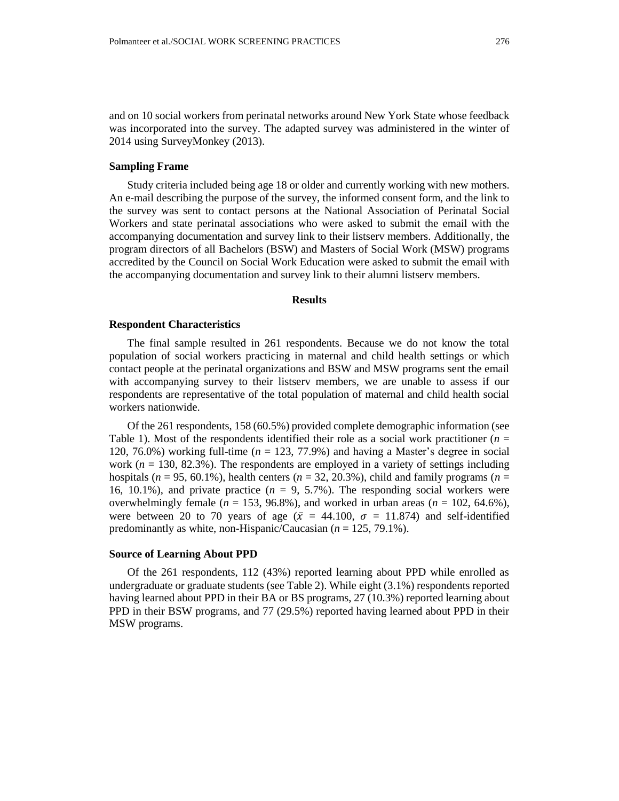### **Sampling Frame**

2014 using SurveyMonkey (2013).

Study criteria included being age 18 or older and currently working with new mothers. An e-mail describing the purpose of the survey, the informed consent form, and the link to the survey was sent to contact persons at the National Association of Perinatal Social Workers and state perinatal associations who were asked to submit the email with the accompanying documentation and survey link to their listserv members. Additionally, the program directors of all Bachelors (BSW) and Masters of Social Work (MSW) programs accredited by the Council on Social Work Education were asked to submit the email with the accompanying documentation and survey link to their alumni listserv members.

### **Results**

#### **Respondent Characteristics**

The final sample resulted in 261 respondents. Because we do not know the total population of social workers practicing in maternal and child health settings or which contact people at the perinatal organizations and BSW and MSW programs sent the email with accompanying survey to their listserv members, we are unable to assess if our respondents are representative of the total population of maternal and child health social workers nationwide.

Of the 261 respondents, 158 (60.5%) provided complete demographic information (see Table 1). Most of the respondents identified their role as a social work practitioner ( $n =$ 120, 76.0%) working full-time ( $n = 123, 77.9%$ ) and having a Master's degree in social work ( $n = 130, 82.3\%$ ). The respondents are employed in a variety of settings including hospitals (*n* = 95, 60.1%), health centers (*n* = 32, 20.3%), child and family programs (*n* = 16, 10.1%), and private practice  $(n = 9, 5.7\%)$ . The responding social workers were overwhelmingly female ( $n = 153, 96.8\%$ ), and worked in urban areas ( $n = 102, 64.6\%$ ), were between 20 to 70 years of age ( $\bar{x}$  = 44.100,  $\sigma$  = 11.874) and self-identified predominantly as white, non-Hispanic/Caucasian (*n* = 125, 79.1%).

#### **Source of Learning About PPD**

Of the 261 respondents, 112 (43%) reported learning about PPD while enrolled as undergraduate or graduate students (see Table 2). While eight (3.1%) respondents reported having learned about PPD in their BA or BS programs, 27 (10.3%) reported learning about PPD in their BSW programs, and 77 (29.5%) reported having learned about PPD in their MSW programs.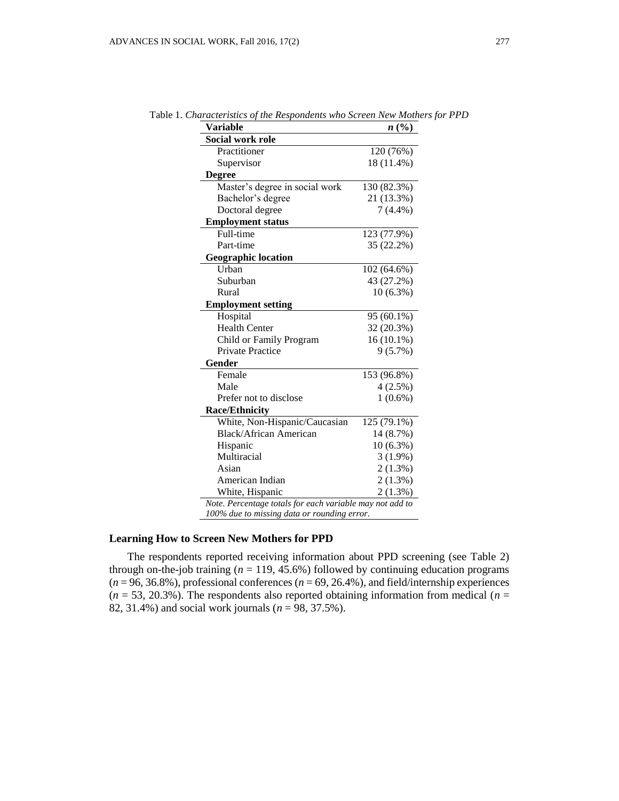| <b>Variable</b>                | n(%)         |
|--------------------------------|--------------|
| Social work role               |              |
| Practitioner                   | 120 (76%)    |
| Supervisor                     | 18 (11.4%)   |
| <b>Degree</b>                  |              |
| Master's degree in social work | 130 (82.3%)  |
| Bachelor's degree              | 21 (13.3%)   |
| Doctoral degree                | $7(4.4\%)$   |
| <b>Employment status</b>       |              |
| Full-time                      | 123(77.9%)   |
| Part-time                      | 35 (22.2%)   |
| <b>Geographic location</b>     |              |
| <b>Urhan</b>                   | 102 (64.6%)  |
| Suburban                       | 43 (27.2%)   |
| Rural                          | $10(6.3\%)$  |
| <b>Employment setting</b>      |              |
| Hospital                       | 95 (60.1%)   |
| <b>Health Center</b>           | 32 (20.3%)   |
| Child or Family Program        | $16(10.1\%)$ |
| <b>Private Practice</b>        | 9(5.7%)      |
| Gender                         |              |
| Female                         | 153 (96.8%)  |
| Male                           | $4(2.5\%)$   |
| Prefer not to disclose         | $1(0.6\%)$   |
| <b>Race/Ethnicity</b>          |              |
| White, Non-Hispanic/Caucasian  | 125 (79.1%)  |
| <b>Black/African American</b>  | 14 (8.7%)    |
| Hispanic                       | $10(6.3\%)$  |
| Multiracial                    | $3(1.9\%)$   |
| Asian                          | $2(1.3\%)$   |
| American Indian                | $2(1.3\%)$   |
|                                | 2(1.3%)      |

Table 1. *Characteristics of the Respondents who Screen New Mothers for PPD*

### **Learning How to Screen New Mothers for PPD**

The respondents reported receiving information about PPD screening (see Table 2) through on-the-job training  $(n = 119, 45.6%)$  followed by continuing education programs  $(n = 96, 36.8\%)$ , professional conferences  $(n = 69, 26.4\%)$ , and field/internship experiences  $(n = 53, 20.3\%)$ . The respondents also reported obtaining information from medical  $(n = 10.5\%)$ 82, 31.4%) and social work journals (*n* = 98, 37.5%).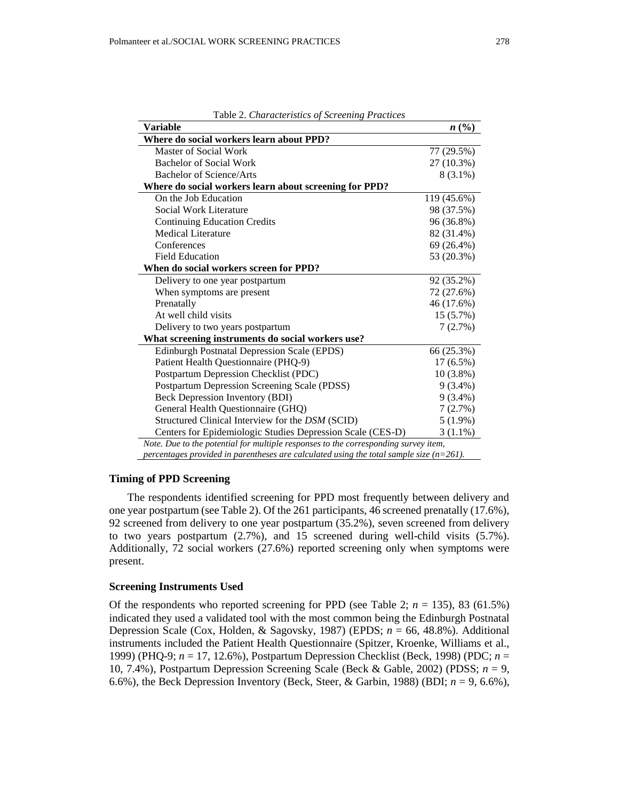| Table 2. Characteristics of Screening Practices        |             |
|--------------------------------------------------------|-------------|
| Variable                                               | n(%)        |
| Where do social workers learn about PPD?               |             |
| Master of Social Work                                  | 77 (29.5%)  |
| Bachelor of Social Work                                | 27 (10.3%)  |
| Bachelor of Science/Arts                               | $8(3.1\%)$  |
| Where do social workers learn about screening for PPD? |             |
| On the Job Education                                   | 119 (45.6%) |
| Social Work Literature                                 | 98 (37.5%)  |

| Master of Social Work                                                                      | 77 (29.5%)  |  |  |
|--------------------------------------------------------------------------------------------|-------------|--|--|
| Bachelor of Social Work                                                                    | 27 (10.3%)  |  |  |
| Bachelor of Science/Arts                                                                   | 8 (3.1%)    |  |  |
| Where do social workers learn about screening for PPD?                                     |             |  |  |
| On the Job Education                                                                       | 119 (45.6%) |  |  |
| Social Work Literature                                                                     | 98 (37.5%)  |  |  |
| <b>Continuing Education Credits</b>                                                        | 96 (36.8%)  |  |  |
| Medical Literature                                                                         | 82 (31.4%)  |  |  |
| Conferences                                                                                | 69 (26.4%)  |  |  |
| <b>Field Education</b>                                                                     | 53 (20.3%)  |  |  |
| When do social workers screen for PPD?                                                     |             |  |  |
| Delivery to one year postpartum                                                            | 92 (35.2%)  |  |  |
| When symptoms are present                                                                  | 72 (27.6%)  |  |  |
| Prenatally                                                                                 | 46 (17.6%)  |  |  |
| At well child visits                                                                       | 15 (5.7%)   |  |  |
| Delivery to two years postpartum                                                           | 7(2.7%)     |  |  |
| What screening instruments do social workers use?                                          |             |  |  |
| <b>Edinburgh Postnatal Depression Scale (EPDS)</b>                                         | 66 (25.3%)  |  |  |
| Patient Health Questionnaire (PHQ-9)                                                       | $17(6.5\%)$ |  |  |
| Postpartum Depression Checklist (PDC)                                                      | $10(3.8\%)$ |  |  |
| Postpartum Depression Screening Scale (PDSS)                                               | $9(3.4\%)$  |  |  |
| Beck Depression Inventory (BDI)                                                            | $9(3.4\%)$  |  |  |
| General Health Questionnaire (GHQ)                                                         | 7(2.7%)     |  |  |
| Structured Clinical Interview for the DSM (SCID)                                           | $5(1.9\%)$  |  |  |
| Centers for Epidemiologic Studies Depression Scale (CES-D)                                 | $3(1.1\%)$  |  |  |
| Note. Due to the potential for multiple responses to the corresponding survey item,        |             |  |  |
| percentages provided in parentheses are calculated using the total sample size $(n=261)$ . |             |  |  |

### **Timing of PPD Screening**

The respondents identified screening for PPD most frequently between delivery and one year postpartum (see Table 2). Of the 261 participants, 46 screened prenatally (17.6%), 92 screened from delivery to one year postpartum (35.2%), seven screened from delivery to two years postpartum (2.7%), and 15 screened during well-child visits (5.7%). Additionally, 72 social workers (27.6%) reported screening only when symptoms were present.

### **Screening Instruments Used**

Of the respondents who reported screening for PPD (see Table 2;  $n = 135$ ), 83 (61.5%) indicated they used a validated tool with the most common being the Edinburgh Postnatal Depression Scale (Cox, Holden, & Sagovsky, 1987) (EPDS; *n* = 66, 48.8%). Additional instruments included the Patient Health Questionnaire (Spitzer, Kroenke, Williams et al., 1999) (PHQ-9; *n* = 17, 12.6%), Postpartum Depression Checklist (Beck, 1998) (PDC; *n* = 10, 7.4%), Postpartum Depression Screening Scale (Beck & Gable, 2002) (PDSS; *n* = 9, 6.6%), the Beck Depression Inventory (Beck, Steer, & Garbin, 1988) (BDI;  $n = 9$ , 6.6%),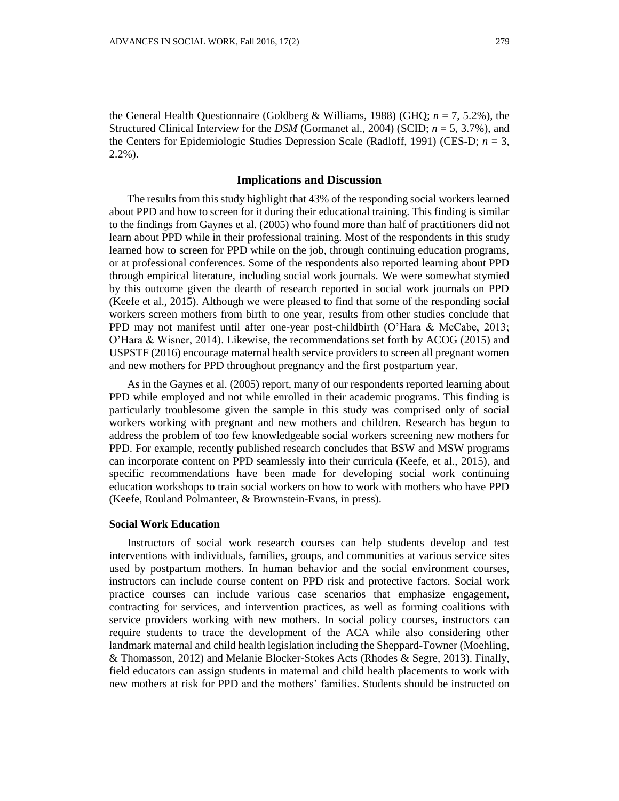the General Health Questionnaire (Goldberg & Williams, 1988) (GHQ; *n* = 7, 5.2%), the Structured Clinical Interview for the *DSM* (Gormanet al., 2004) (SCID; *n* = 5, 3.7%), and the Centers for Epidemiologic Studies Depression Scale (Radloff, 1991) (CES-D; *n* = 3, 2.2%).

### **Implications and Discussion**

The results from this study highlight that 43% of the responding social workers learned about PPD and how to screen for it during their educational training. This finding is similar to the findings from Gaynes et al. (2005) who found more than half of practitioners did not learn about PPD while in their professional training. Most of the respondents in this study learned how to screen for PPD while on the job, through continuing education programs, or at professional conferences. Some of the respondents also reported learning about PPD through empirical literature, including social work journals. We were somewhat stymied by this outcome given the dearth of research reported in social work journals on PPD (Keefe et al., 2015). Although we were pleased to find that some of the responding social workers screen mothers from birth to one year, results from other studies conclude that PPD may not manifest until after one-year post-childbirth (O'Hara & McCabe, 2013; O'Hara & Wisner, 2014). Likewise, the recommendations set forth by ACOG (2015) and USPSTF (2016) encourage maternal health service providers to screen all pregnant women and new mothers for PPD throughout pregnancy and the first postpartum year.

As in the Gaynes et al. (2005) report, many of our respondents reported learning about PPD while employed and not while enrolled in their academic programs. This finding is particularly troublesome given the sample in this study was comprised only of social workers working with pregnant and new mothers and children. Research has begun to address the problem of too few knowledgeable social workers screening new mothers for PPD. For example, recently published research concludes that BSW and MSW programs can incorporate content on PPD seamlessly into their curricula (Keefe, et al., 2015), and specific recommendations have been made for developing social work continuing education workshops to train social workers on how to work with mothers who have PPD (Keefe, Rouland Polmanteer, & Brownstein-Evans, in press).

#### **Social Work Education**

Instructors of social work research courses can help students develop and test interventions with individuals, families, groups, and communities at various service sites used by postpartum mothers. In human behavior and the social environment courses, instructors can include course content on PPD risk and protective factors. Social work practice courses can include various case scenarios that emphasize engagement, contracting for services, and intervention practices, as well as forming coalitions with service providers working with new mothers. In social policy courses, instructors can require students to trace the development of the ACA while also considering other landmark maternal and child health legislation including the Sheppard-Towner (Moehling, & Thomasson, 2012) and Melanie Blocker-Stokes Acts (Rhodes & Segre, 2013). Finally, field educators can assign students in maternal and child health placements to work with new mothers at risk for PPD and the mothers' families. Students should be instructed on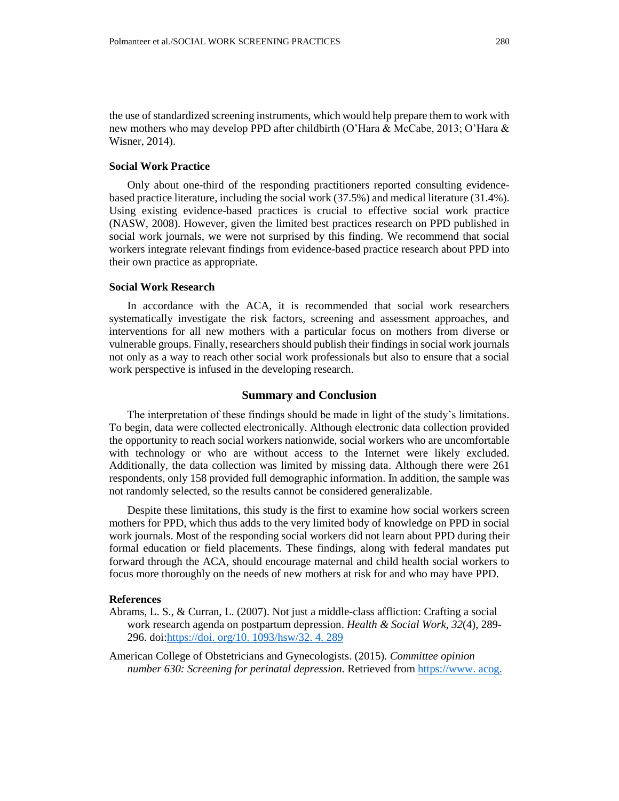the use of standardized screening instruments, which would help prepare them to work with new mothers who may develop PPD after childbirth (O'Hara & McCabe, 2013; O'Hara & Wisner, 2014).

## **Social Work Practice**

Only about one-third of the responding practitioners reported consulting evidencebased practice literature, including the social work (37.5%) and medical literature (31.4%). Using existing evidence-based practices is crucial to effective social work practice (NASW, 2008). However, given the limited best practices research on PPD published in social work journals, we were not surprised by this finding. We recommend that social workers integrate relevant findings from evidence-based practice research about PPD into their own practice as appropriate.

### **Social Work Research**

In accordance with the ACA, it is recommended that social work researchers systematically investigate the risk factors, screening and assessment approaches, and interventions for all new mothers with a particular focus on mothers from diverse or vulnerable groups. Finally, researchers should publish their findings in social work journals not only as a way to reach other social work professionals but also to ensure that a social work perspective is infused in the developing research.

# **Summary and Conclusion**

The interpretation of these findings should be made in light of the study's limitations. To begin, data were collected electronically. Although electronic data collection provided the opportunity to reach social workers nationwide, social workers who are uncomfortable with technology or who are without access to the Internet were likely excluded. Additionally, the data collection was limited by missing data. Although there were 261 respondents, only 158 provided full demographic information. In addition, the sample was not randomly selected, so the results cannot be considered generalizable.

Despite these limitations, this study is the first to examine how social workers screen mothers for PPD, which thus adds to the very limited body of knowledge on PPD in social work journals. Most of the responding social workers did not learn about PPD during their formal education or field placements. These findings, along with federal mandates put forward through the ACA, should encourage maternal and child health social workers to focus more thoroughly on the needs of new mothers at risk for and who may have PPD.

#### **References**

- Abrams, L. S., & Curran, L. (2007). Not just a middle-class affliction: Crafting a social work research agenda on postpartum depression. *Health & Social Work, 32*(4), 289- 296. doi[:https://doi. org/10. 1093/hsw/32. 4. 289](https://doi.org/10.1093/hsw/32.4.289)
- American College of Obstetricians and Gynecologists. (2015). *Committee opinion number 630: Screening for perinatal depression.* Retrieved from [https://www. acog.](https://www.acog.org/-/media/Committee-Opinions/Committee-on-Obstetric-Practice/co630.pdf?dmc=1&ts=20160201T1823533744)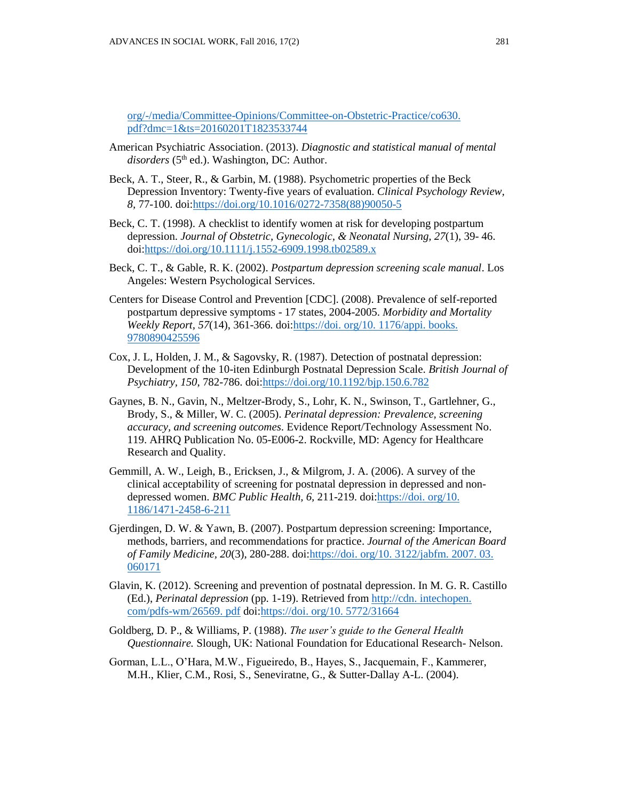[org/-/media/Committee-Opinions/Committee-on-Obstetric-Practice/co630.](https://www.acog.org/-/media/Committee-Opinions/Committee-on-Obstetric-Practice/co630.pdf?dmc=1&ts=20160201T1823533744)  [pdf?dmc=1&ts=20160201T1823533744](https://www.acog.org/-/media/Committee-Opinions/Committee-on-Obstetric-Practice/co630.pdf?dmc=1&ts=20160201T1823533744)

- American Psychiatric Association. (2013). *Diagnostic and statistical manual of mental*  disorders (5<sup>th</sup> ed.). Washington, DC: Author.
- Beck, A. T., Steer, R., & Garbin, M. (1988). Psychometric properties of the Beck Depression Inventory: Twenty-five years of evaluation. *Clinical Psychology Review, 8,* 77-100. doi[:https://doi.org/10.1016/0272-7358\(88\)90050-5](https://doi.org/10.1016/0272-7358(88)90050-5)
- Beck, C. T. (1998). A checklist to identify women at risk for developing postpartum depression. *Journal of Obstetric, Gynecologic, & Neonatal Nursing, 27*(1), 39- 46. doi[:https://doi.org/10.1111/j.1552-6909.1998.tb02589.x](https://doi.org/10.1111/j.1552-6909.1998.tb02589.x)
- Beck, C. T., & Gable, R. K. (2002). *Postpartum depression screening scale manual*. Los Angeles: Western Psychological Services.
- Centers for Disease Control and Prevention [CDC]. (2008). Prevalence of self-reported postpartum depressive symptoms - 17 states, 2004-2005. *Morbidity and Mortality Weekly Report, 57*(14), 361-366. doi[:https://doi. org/10. 1176/appi. books.](https://doi.org/10.1176/appi.books.9780890425596)  [9780890425596](https://doi.org/10.1176/appi.books.9780890425596)
- Cox, J. L, Holden, J. M., & Sagovsky, R. (1987). Detection of postnatal depression: Development of the 10-iten Edinburgh Postnatal Depression Scale. *British Journal of Psychiatry, 150*, 782-786. doi[:https://doi.org/10.1192/bjp.150.6.782](https://doi.org/10.1192/bjp.150.6.782)
- Gaynes, B. N., Gavin, N., Meltzer-Brody, S., Lohr, K. N., Swinson, T., Gartlehner, G., Brody, S., & Miller, W. C. (2005). *Perinatal depression: Prevalence, screening accuracy, and screening outcomes*. Evidence Report/Technology Assessment No. 119. AHRQ Publication No. 05-E006-2. Rockville, MD: Agency for Healthcare Research and Quality.
- Gemmill, A. W., Leigh, B., Ericksen, J., & Milgrom, J. A. (2006). A survey of the clinical acceptability of screening for postnatal depression in depressed and nondepressed women. *BMC Public Health, 6,* 211-219. doi[:https://doi. org/10.](https://doi.org/10.1186/1471-2458-6-211)  [1186/1471-2458-6-211](https://doi.org/10.1186/1471-2458-6-211)
- Gjerdingen, D. W. & Yawn, B. (2007). Postpartum depression screening: Importance, methods, barriers, and recommendations for practice. *Journal of the American Board of Family Medicine, 20*(3), 280-288. doi[:https://doi. org/10. 3122/jabfm. 2007. 03.](https://doi.org/10.3122/jabfm.2007.03.060171)  [060171](https://doi.org/10.3122/jabfm.2007.03.060171)
- Glavin, K. (2012). Screening and prevention of postnatal depression. In M. G. R. Castillo (Ed.), *Perinatal depression* (pp. 1-19). Retrieved fro[m http://cdn. intechopen.](http://cdn.intechopen.com/pdfs-wm/26569.pdf)  [com/pdfs-wm/26569. pdf](http://cdn.intechopen.com/pdfs-wm/26569.pdf) doi[:https://doi. org/10. 5772/31664](https://doi.org/10.5772/31664)
- Goldberg, D. P., & Williams, P. (1988). *The user's guide to the General Health Questionnaire.* Slough, UK: National Foundation for Educational Research- Nelson.
- Gorman, L.L., O'Hara, M.W., Figueiredo, B., Hayes, S., Jacquemain, F., Kammerer, M.H., Klier, C.M., Rosi, S., Seneviratne, G., & Sutter-Dallay A-L. (2004).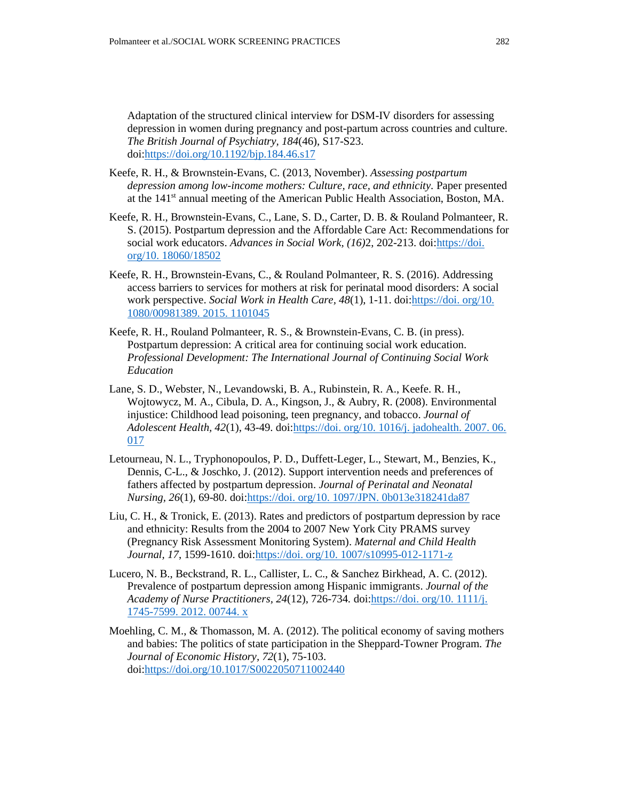Adaptation of the structured clinical interview for DSM-IV disorders for assessing depression in women during pregnancy and post-partum across countries and culture. *The British Journal of Psychiatry, 184*(46), S17-S23. doi[:https://doi.org/10.1192/bjp.184.46.s17](https://doi.org/10.1192/bjp.184.46.s17)

- Keefe, R. H., & Brownstein-Evans, C. (2013, November). *Assessing postpartum depression among low-income mothers: Culture, race, and ethnicity. Paper presented* at the 141<sup>st</sup> annual meeting of the American Public Health Association, Boston, MA.
- Keefe, R. H., Brownstein-Evans, C., Lane, S. D., Carter, D. B. & Rouland Polmanteer, R. S. (2015). Postpartum depression and the Affordable Care Act: Recommendations for social work educators. *Advances in Social Work, (16)*2, 202-213. doi[:https://doi.](https://doi.org/10.18060/18502)  [org/10. 18060/18502](https://doi.org/10.18060/18502)
- Keefe, R. H., Brownstein-Evans, C., & Rouland Polmanteer, R. S. (2016). Addressing access barriers to services for mothers at risk for perinatal mood disorders: A social work perspective. *Social Work in Health Care, 48*(1), 1-11. doi[:https://doi. org/10.](https://doi.org/10.1080/00981389.2015.1101045)  [1080/00981389. 2015. 1101045](https://doi.org/10.1080/00981389.2015.1101045)
- Keefe, R. H., Rouland Polmanteer, R. S., & Brownstein-Evans, C. B. (in press). Postpartum depression: A critical area for continuing social work education. *Professional Development: The International Journal of Continuing Social Work Education*
- Lane, S. D., Webster, N., Levandowski, B. A., Rubinstein, R. A., Keefe. R. H., Wojtowycz, M. A., Cibula, D. A., Kingson, J., & Aubry, R. (2008). Environmental injustice: Childhood lead poisoning, teen pregnancy, and tobacco. *Journal of Adolescent Health, 42*(1), 43-49. doi[:https://doi. org/10. 1016/j. jadohealth. 2007. 06.](https://doi.org/10.1016/j.jadohealth.2007.06.017)  [017](https://doi.org/10.1016/j.jadohealth.2007.06.017)
- Letourneau, N. L., Tryphonopoulos, P. D., Duffett-Leger, L., Stewart, M., Benzies, K., Dennis, C-L., & Joschko, J. (2012). Support intervention needs and preferences of fathers affected by postpartum depression. *Journal of Perinatal and Neonatal Nursing, 26*(1), 69-80. doi[:https://doi. org/10. 1097/JPN. 0b013e318241da87](https://doi.org/10.1097/JPN.0b013e318241da87)
- Liu, C. H., & Tronick, E. (2013). Rates and predictors of postpartum depression by race and ethnicity: Results from the 2004 to 2007 New York City PRAMS survey (Pregnancy Risk Assessment Monitoring System). *Maternal and Child Health Journal, 17*, 1599-1610. doi[:https://doi. org/10. 1007/s10995-012-1171-z](https://doi.org/10.1007/s10995-012-1171-z)
- Lucero, N. B., Beckstrand, R. L., Callister, L. C., & Sanchez Birkhead, A. C. (2012). Prevalence of postpartum depression among Hispanic immigrants. *Journal of the Academy of Nurse Practitioners, 24*(12), 726-734*.* doi[:https://doi. org/10. 1111/j.](https://doi.org/10.1111/j.1745-7599.2012.00744.x)  [1745-7599. 2012. 00744. x](https://doi.org/10.1111/j.1745-7599.2012.00744.x)
- Moehling, C. M., & Thomasson, M. A. (2012). The political economy of saving mothers and babies: The politics of state participation in the Sheppard-Towner Program. *The Journal of Economic History, 72*(1), 75-103. doi[:https://doi.org/10.1017/S0022050711002440](https://doi.org/10.1017/S0022050711002440)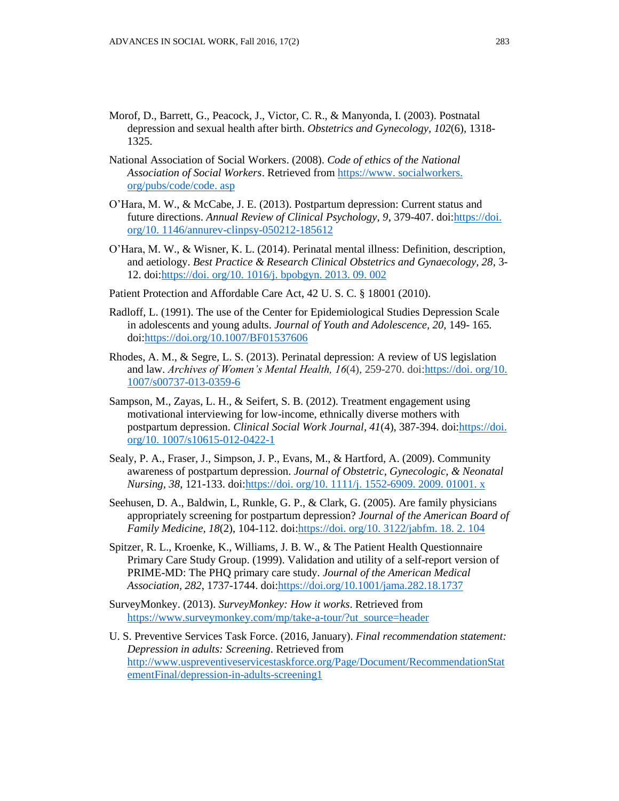- Morof, D., Barrett, G., Peacock, J., Victor, C. R., & Manyonda, I. (2003). Postnatal depression and sexual health after birth. *Obstetrics and Gynecology, 102*(6), 1318- 1325.
- National Association of Social Workers. (2008). *Code of ethics of the National Association of Social Workers*. Retrieved from [https://www. socialworkers.](https://www.socialworkers.org/pubs/code/code.asp)  [org/pubs/code/code. asp](https://www.socialworkers.org/pubs/code/code.asp)
- O'Hara, M. W., & McCabe, J. E. (2013). Postpartum depression: Current status and future directions. *Annual Review of Clinical Psychology, 9*, 379-407. doi[:https://doi.](https://doi.org/10.1146/annurev-clinpsy-050212-185612)  [org/10. 1146/annurev-clinpsy-050212-185612](https://doi.org/10.1146/annurev-clinpsy-050212-185612)
- O'Hara, M. W., & Wisner, K. L. (2014). Perinatal mental illness: Definition, description, and aetiology. *Best Practice & Research Clinical Obstetrics and Gynaecology, 28*, 3- 12. doi[:https://doi. org/10. 1016/j. bpobgyn. 2013. 09. 002](https://doi.org/10.1016/j.bpobgyn.2013.09.002)
- Patient Protection and Affordable Care Act, 42 U. S. C. § 18001 (2010).
- Radloff, L. (1991). The use of the Center for Epidemiological Studies Depression Scale in adolescents and young adults. *Journal of Youth and Adolescence, 20,* 149- 165. doi[:https://doi.org/10.1007/BF01537606](https://doi.org/10.1007/BF01537606)
- Rhodes, A. M., & Segre, L. S. (2013). Perinatal depression: A review of US legislation and law. *Archives of Women's Mental Health, 16*(4), 259-270. doi[:https://doi.](https://doi.org/10.1007/s00737-013-0359-6) org/10. [1007/s00737-013-0359-6](https://doi.org/10.1007/s00737-013-0359-6)
- Sampson, M., Zayas, L. H., & Seifert, S. B. (2012). Treatment engagement using motivational interviewing for low-income, ethnically diverse mothers with postpartum depression. *Clinical Social Work Journal, 41*(4), 387-394. doi[:https://doi.](https://doi.org/10.1007/s10615-012-0422-1)  [org/10. 1007/s10615-012-0422-1](https://doi.org/10.1007/s10615-012-0422-1)
- Sealy, P. A., Fraser, J., Simpson, J. P., Evans, M., & Hartford, A. (2009). Community awareness of postpartum depression. *Journal of Obstetric, Gynecologic, & Neonatal Nursing, 38*, 121-133. doi[:https://doi. org/10. 1111/j. 1552-6909. 2009. 01001. x](https://doi.org/10.1111/j.1552-6909.2009.01001.x)
- Seehusen, D. A., Baldwin, L, Runkle, G. P., & Clark, G. (2005). Are family physicians appropriately screening for postpartum depression? *Journal of the American Board of Family Medicine, 18*(2), 104-112. doi[:https://doi. org/10. 3122/jabfm. 18. 2. 104](https://doi.org/10.3122/jabfm.18.2.104)
- Spitzer, R. L., Kroenke, K., Williams, J. B. W., & The Patient Health Questionnaire Primary Care Study Group. (1999). Validation and utility of a self-report version of PRIME-MD: The PHQ primary care study. *Journal of the American Medical Association, 282*, 1737-1744. doi[:https://doi.org/10.1001/jama.282.18.1737](https://doi.org/10.1001/jama.282.18.1737)
- SurveyMonkey. (2013). *SurveyMonkey: How it works*. Retrieved from [https://www.surveymonkey.com/mp/take-a-tour/?ut\\_source=header](https://www.surveymonkey.com/mp/take-a-tour/?ut_source=header)
- U. S. Preventive Services Task Force. (2016, January). *Final recommendation statement: Depression in adults: Screening*. Retrieved from [http://www.uspreventiveservicestaskforce.org/Page/Document/RecommendationStat](http://www.uspreventiveservicestaskforce.org/Page/Document/RecommendationStatementFinal/depression-in-adults-screening1) [ementFinal/depression-in-adults-screening1](http://www.uspreventiveservicestaskforce.org/Page/Document/RecommendationStatementFinal/depression-in-adults-screening1)